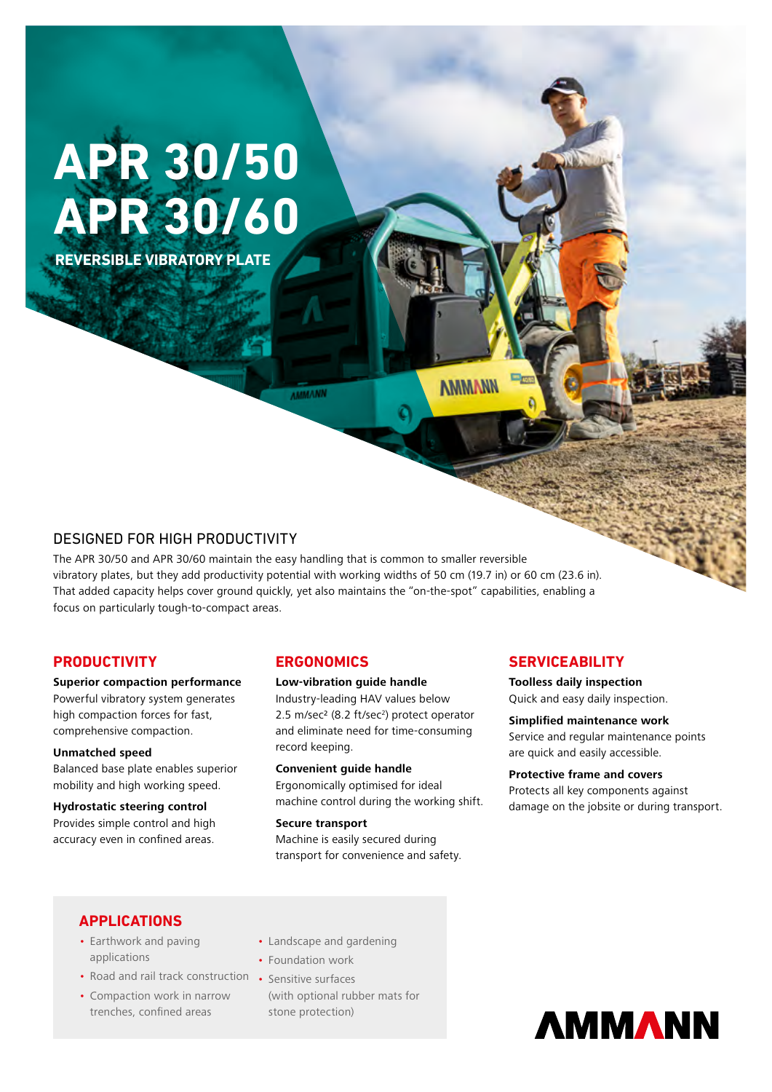# **APR 30/50 APR 30/60**

**REVERSIBLE VIBRATORY PLATE**

**AMMANN** 

**AMMANN** 

# DESIGNED FOR HIGH PRODUCTIVITY

The APR 30/50 and APR 30/60 maintain the easy handling that is common to smaller reversible vibratory plates, but they add productivity potential with working widths of 50 cm (19.7 in) or 60 cm (23.6 in). That added capacity helps cover ground quickly, yet also maintains the "on-the-spot" capabilities, enabling a focus on particularly tough-to-compact areas.

## **PRODUCTIVITY**

#### **Superior compaction performance**

Powerful vibratory system generates high compaction forces for fast, comprehensive compaction.

#### **Unmatched speed**

Balanced base plate enables superior mobility and high working speed.

#### **Hydrostatic steering control**  Provides simple control and high

accuracy even in confined areas.

## **ERGONOMICS**

#### **Low-vibration guide handle**

Industry-leading HAV values below 2.5 m/sec<sup>2</sup> (8.2 ft/sec<sup>2</sup>) protect operator and eliminate need for time-consuming record keeping.

**Convenient guide handle** Ergonomically optimised for ideal machine control during the working shift.

**Secure transport** Machine is easily secured during transport for convenience and safety.

## **SERVICEABILITY**

**Toolless daily inspection** Quick and easy daily inspection.

**Simplified maintenance work** Service and regular maintenance points are quick and easily accessible.

#### **Protective frame and covers** Protects all key components against damage on the jobsite or during transport.

## **APPLICATIONS**

- Earthwork and paving applications
- Road and rail track construction Sensitive surfaces
- Compaction work in narrow trenches, confined areas
- Landscape and gardening
- Foundation work
- (with optional rubber mats for stone protection)